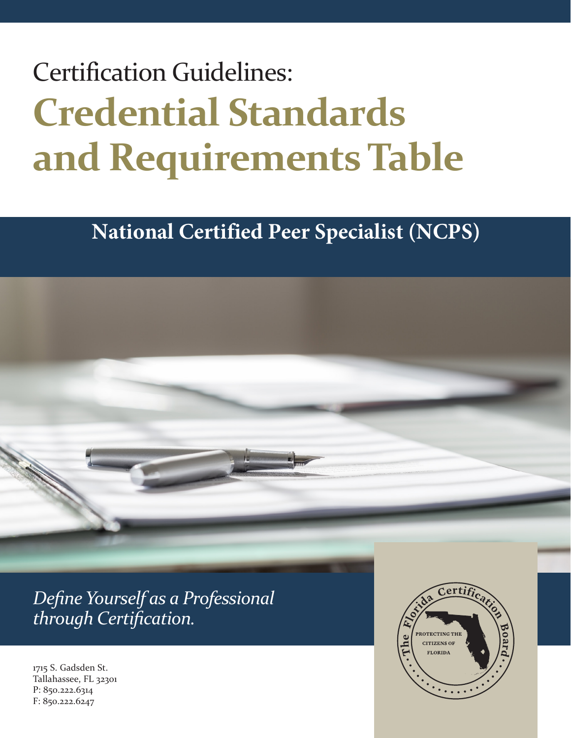# Certification Guidelines: **Credential Standards and RequirementsTable**

# **National Certified Peer Specialist (NCPS)**

*Define Yourself as a Professional through Certification.*

1715 S. Gadsden St. Tallahassee, FL 32301 P: 850.222.6314 F: 850.222.6247

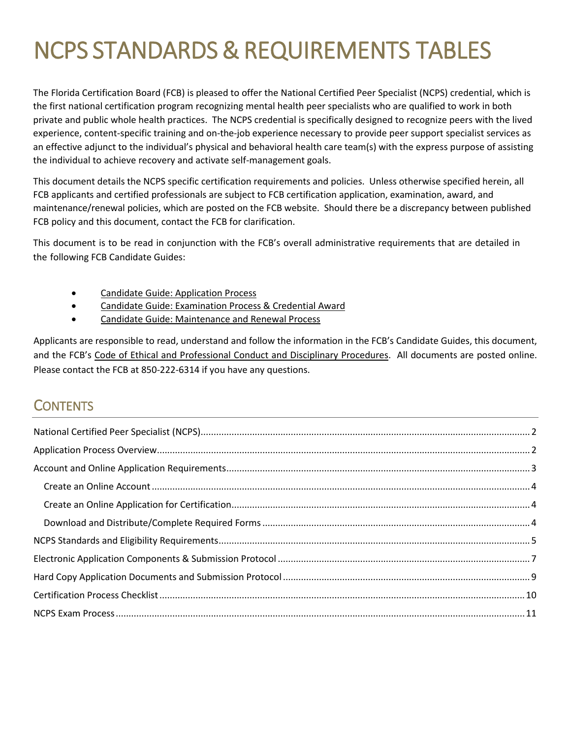# NCPS STANDARDS & REQUIREMENTS TABLES

The Florida Certification Board (FCB) is pleased to offer the National Certified Peer Specialist (NCPS) credential, which is the first national certification program recognizing mental health peer specialists who are qualified to work in both private and public whole health practices. The NCPS credential is specifically designed to recognize peers with the lived experience, content-specific training and on-the-job experience necessary to provide peer support specialist services as an effective adjunct to the individual's physical and behavioral health care team(s) with the express purpose of assisting the individual to achieve recovery and activate self-management goals.

This document details the NCPS specific certification requirements and policies. Unless otherwise specified herein, all FCB applicants and certified professionals are subject to FCB certification application, examination, award, and maintenance/renewal policies, which are posted on the FCB website. Should there be a discrepancy between published FCB policy and this document, contact the FCB for clarification.

This document is to be read in conjunction with the FCB's overall administrative requirements that are detailed in the following FCB Candidate Guides:

- Candidate Guide: Application Process
- Candidate Guide: Examination Process & Credential Award
- Candidate Guide: Maintenance and Renewal Process

Applicants are responsible to read, understand and follow the information in the FCB's Candidate Guides, this document, and the FCB's Code of Ethical and Professional Conduct and Disciplinary Procedures. All documents are posted online. Please contact the FCB at 850-222-6314 if you have any questions.

### **CONTENTS**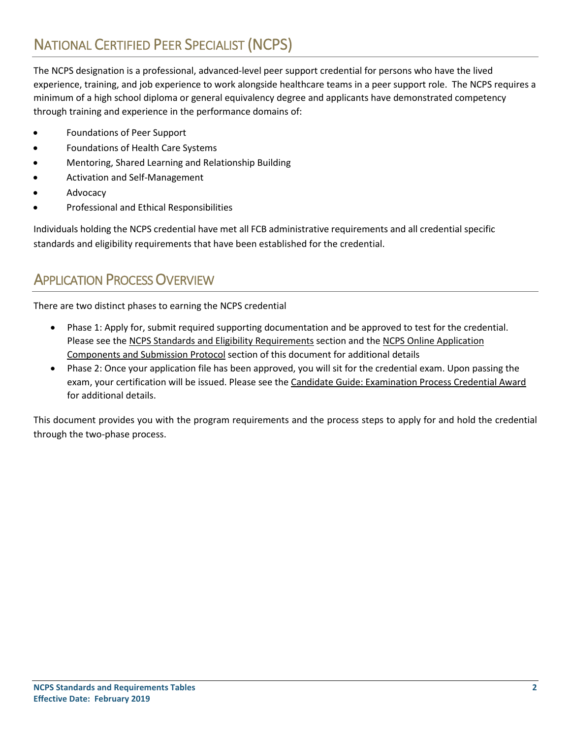# <span id="page-2-0"></span>NATIONAL CERTIFIED PEER SPECIALIST (NCPS)

The NCPS designation is a professional, advanced-level peer support credential for persons who have the lived experience, training, and job experience to work alongside healthcare teams in a peer support role. The NCPS requires a minimum of a high school diploma or general equivalency degree and applicants have demonstrated competency through training and experience in the performance domains of:

- Foundations of Peer Support
- Foundations of Health Care Systems
- Mentoring, Shared Learning and Relationship Building
- Activation and Self-Management
- **Advocacy**
- Professional and Ethical Responsibilities

Individuals holding the NCPS credential have met all FCB administrative requirements and all credential specific standards and eligibility requirements that have been established for the credential.

### <span id="page-2-1"></span>APPLICATION PROCESS OVERVIEW

There are two distinct phases to earning the NCPS credential

- Phase 1: Apply for, submit required supporting documentation and be approved to test for the credential. Please see the NCPS Standards and Eligibility Requirements section and the NCPS Online Application Components and Submission Protocol section of this document for additional details
- Phase 2: Once your application file has been approved, you will sit for the credential exam. Upon passing the exam, your certification will be issued. Please see the Candidate Guide: Examination Process Credential Award for additional details.

This document provides you with the program requirements and the process steps to apply for and hold the credential through the two-phase process.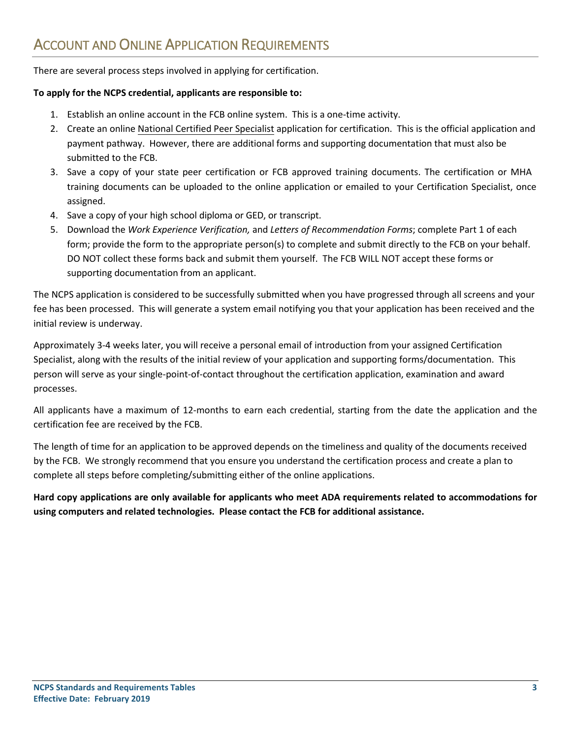<span id="page-3-0"></span>There are several process steps involved in applying for certification.

#### **To apply for the NCPS credential, applicants are responsible to:**

- 1. Establish an online account in the FCB online system. This is a one-time activity.
- 2. Create an online National Certified Peer Specialist application for certification. This is the official application and payment pathway. However, there are additional forms and supporting documentation that must also be submitted to the FCB.
- 3. Save a copy of your state peer certification or FCB approved training documents. The certification or MHA training documents can be uploaded to the online application or emailed to your Certification Specialist, once assigned.
- 4. Save a copy of your high school diploma or GED, or transcript.
- 5. Download the *Work Experience Verification,* and *Letters of Recommendation Forms*; complete Part 1 of each form; provide the form to the appropriate person(s) to complete and submit directly to the FCB on your behalf. DO NOT collect these forms back and submit them yourself. The FCB WILL NOT accept these forms or supporting documentation from an applicant.

The NCPS application is considered to be successfully submitted when you have progressed through all screens and your fee has been processed. This will generate a system email notifying you that your application has been received and the initial review is underway.

Approximately 3-4 weeks later, you will receive a personal email of introduction from your assigned Certification Specialist, along with the results of the initial review of your application and supporting forms/documentation. This person will serve as your single-point-of-contact throughout the certification application, examination and award processes.

All applicants have a maximum of 12-months to earn each credential, starting from the date the application and the certification fee are received by the FCB.

The length of time for an application to be approved depends on the timeliness and quality of the documents received by the FCB. We strongly recommend that you ensure you understand the certification process and create a plan to complete all steps before completing/submitting either of the online applications.

**Hard copy applications are only available for applicants who meet ADA requirements related to accommodations for using computers and related technologies. Please contact the FCB for additional assistance.**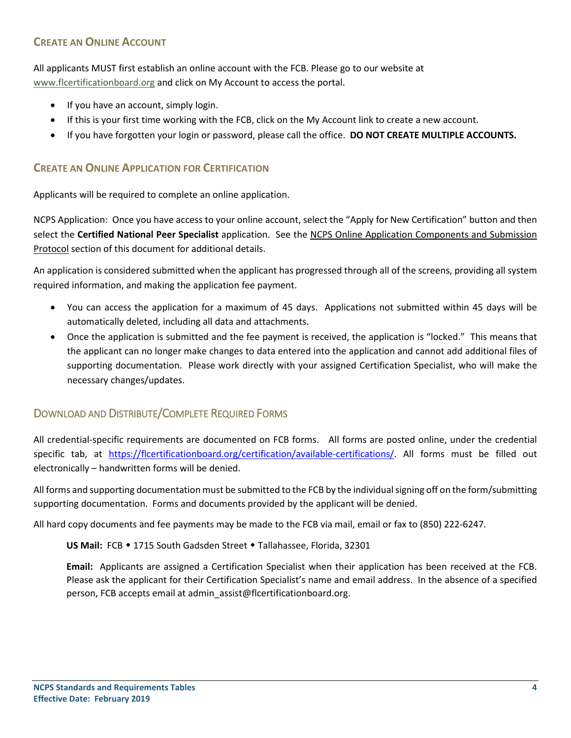#### <span id="page-4-0"></span>**CREATE AN ONLINE ACCOUNT**

All applicants MUST first establish an online account with the FCB. Please go to our website at [www.flcertificationboard.org](http://www.flcertificationboard.org/) and click on My Account to access the portal.

- If you have an account, simply login.
- If this is your first time working with the FCB, click on the My Account link to create a new account.
- If you have forgotten your login or password, please call the office. **DO NOT CREATE MULTIPLE ACCOUNTS.**

#### <span id="page-4-1"></span>**CREATE AN ONLINE APPLICATION FOR CERTIFICATION**

Applicants will be required to complete an online application.

NCPS Application: Once you have access to your online account, select the "Apply for New Certification" button and then select the **Certified National Peer Specialist** application. See the NCPS Online Application Components and Submission Protocol section of this document for additional details.

An application is considered submitted when the applicant has progressed through all of the screens, providing all system required information, and making the application fee payment.

- You can access the application for a maximum of 45 days. Applications not submitted within 45 days will be automatically deleted, including all data and attachments.
- Once the application is submitted and the fee payment is received, the application is "locked." This means that the applicant can no longer make changes to data entered into the application and cannot add additional files of supporting documentation. Please work directly with your assigned Certification Specialist, who will make the necessary changes/updates.

#### <span id="page-4-2"></span>DOWNLOAD AND DISTRIBUTE/COMPLETE REQUIRED FORMS

All credential-specific requirements are documented on FCB forms. All forms are posted online, under the credential specific tab, at [https://flcertificationboard.org/certification/available-certifications/.](https://flcertificationboard.org/certification/available-certifications/) All forms must be filled out electronically – handwritten forms will be denied.

All forms and supporting documentation must be submitted to the FCB by the individual signing off on the form/submitting supporting documentation. Forms and documents provided by the applicant will be denied.

All hard copy documents and fee payments may be made to the FCB via mail, email or fax to (850) 222-6247.

US Mail: FCB • 1715 South Gadsden Street • Tallahassee, Florida, 32301

**Email:** Applicants are assigned a Certification Specialist when their application has been received at the FCB. Please ask the applicant for their Certification Specialist's name and email address. In the absence of a specified person, FCB accepts email at admin\_assist@flcertificationboard.org.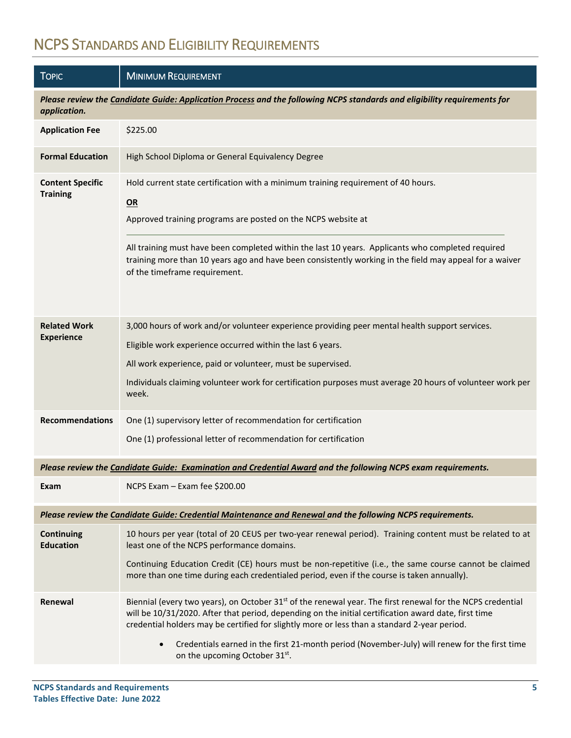# <span id="page-5-0"></span>NCPS STANDARDS AND ELIGIBILITY REQUIREMENTS

| <b>TOPIC</b>                                                                                                                             | <b>MINIMUM REQUIREMENT</b>                                                                                                                                                                                                                                                                                                                                                                                                                                       |  |  |
|------------------------------------------------------------------------------------------------------------------------------------------|------------------------------------------------------------------------------------------------------------------------------------------------------------------------------------------------------------------------------------------------------------------------------------------------------------------------------------------------------------------------------------------------------------------------------------------------------------------|--|--|
| Please review the Candidate Guide: Application Process and the following NCPS standards and eligibility requirements for<br>application. |                                                                                                                                                                                                                                                                                                                                                                                                                                                                  |  |  |
| <b>Application Fee</b>                                                                                                                   | \$225.00                                                                                                                                                                                                                                                                                                                                                                                                                                                         |  |  |
| <b>Formal Education</b>                                                                                                                  | High School Diploma or General Equivalency Degree                                                                                                                                                                                                                                                                                                                                                                                                                |  |  |
| <b>Content Specific</b><br><b>Training</b>                                                                                               | Hold current state certification with a minimum training requirement of 40 hours.<br>OR<br>Approved training programs are posted on the NCPS website at<br>All training must have been completed within the last 10 years. Applicants who completed required<br>training more than 10 years ago and have been consistently working in the field may appeal for a waiver<br>of the timeframe requirement.                                                         |  |  |
| <b>Related Work</b><br><b>Experience</b>                                                                                                 | 3,000 hours of work and/or volunteer experience providing peer mental health support services.<br>Eligible work experience occurred within the last 6 years.<br>All work experience, paid or volunteer, must be supervised.<br>Individuals claiming volunteer work for certification purposes must average 20 hours of volunteer work per<br>week.                                                                                                               |  |  |
| <b>Recommendations</b>                                                                                                                   | One (1) supervisory letter of recommendation for certification                                                                                                                                                                                                                                                                                                                                                                                                   |  |  |
|                                                                                                                                          | One (1) professional letter of recommendation for certification                                                                                                                                                                                                                                                                                                                                                                                                  |  |  |
|                                                                                                                                          | Please review the Candidate Guide: Examination and Credential Award and the following NCPS exam requirements.                                                                                                                                                                                                                                                                                                                                                    |  |  |
| Exam                                                                                                                                     | NCPS Exam - Exam fee \$200.00                                                                                                                                                                                                                                                                                                                                                                                                                                    |  |  |
|                                                                                                                                          | Please review the Candidate Guide: Credential Maintenance and Renewal and the following NCPS requirements.                                                                                                                                                                                                                                                                                                                                                       |  |  |
| <b>Continuing</b><br><b>Education</b>                                                                                                    | 10 hours per year (total of 20 CEUS per two-year renewal period). Training content must be related to at<br>least one of the NCPS performance domains.<br>Continuing Education Credit (CE) hours must be non-repetitive (i.e., the same course cannot be claimed<br>more than one time during each credentialed period, even if the course is taken annually).                                                                                                   |  |  |
| <b>Renewal</b>                                                                                                                           | Biennial (every two years), on October 31 <sup>st</sup> of the renewal year. The first renewal for the NCPS credential<br>will be 10/31/2020. After that period, depending on the initial certification award date, first time<br>credential holders may be certified for slightly more or less than a standard 2-year period.<br>Credentials earned in the first 21-month period (November-July) will renew for the first time<br>on the upcoming October 31st. |  |  |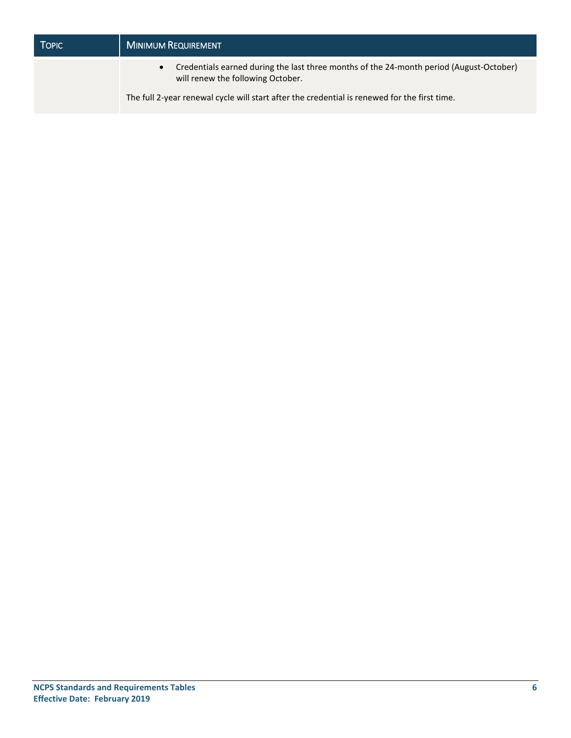| TOPIC: | <b>MINIMUM REQUIREMENT</b>                                                                                                   |  |
|--------|------------------------------------------------------------------------------------------------------------------------------|--|
|        | Credentials earned during the last three months of the 24-month period (August-October)<br>will renew the following October. |  |
|        | The full 2-year renewal cycle will start after the credential is renewed for the first time.                                 |  |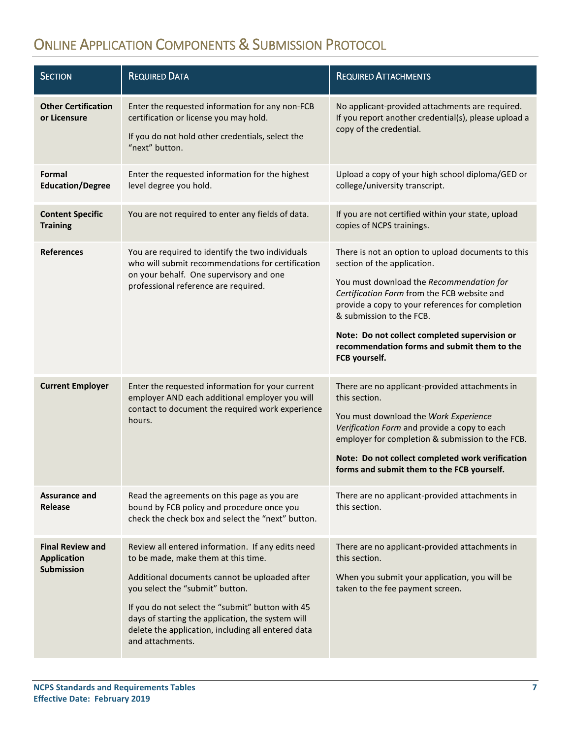# <span id="page-7-0"></span>ONLINE APPLICATION COMPONENTS & SUBMISSION PROTOCOL

| <b>SECTION</b>                                                     | <b>REQUIRED DATA</b>                                                                                                                                                                                                                                                                                                                                            | <b>REQUIRED ATTACHMENTS</b>                                                                                                                                                                                                                                                                                                                                                   |
|--------------------------------------------------------------------|-----------------------------------------------------------------------------------------------------------------------------------------------------------------------------------------------------------------------------------------------------------------------------------------------------------------------------------------------------------------|-------------------------------------------------------------------------------------------------------------------------------------------------------------------------------------------------------------------------------------------------------------------------------------------------------------------------------------------------------------------------------|
| <b>Other Certification</b><br>or Licensure                         | Enter the requested information for any non-FCB<br>certification or license you may hold.<br>If you do not hold other credentials, select the<br>"next" button.                                                                                                                                                                                                 | No applicant-provided attachments are required.<br>If you report another credential(s), please upload a<br>copy of the credential.                                                                                                                                                                                                                                            |
| Formal<br><b>Education/Degree</b>                                  | Enter the requested information for the highest<br>level degree you hold.                                                                                                                                                                                                                                                                                       | Upload a copy of your high school diploma/GED or<br>college/university transcript.                                                                                                                                                                                                                                                                                            |
| <b>Content Specific</b><br><b>Training</b>                         | You are not required to enter any fields of data.                                                                                                                                                                                                                                                                                                               | If you are not certified within your state, upload<br>copies of NCPS trainings.                                                                                                                                                                                                                                                                                               |
| <b>References</b>                                                  | You are required to identify the two individuals<br>who will submit recommendations for certification<br>on your behalf. One supervisory and one<br>professional reference are required.                                                                                                                                                                        | There is not an option to upload documents to this<br>section of the application.<br>You must download the Recommendation for<br>Certification Form from the FCB website and<br>provide a copy to your references for completion<br>& submission to the FCB.<br>Note: Do not collect completed supervision or<br>recommendation forms and submit them to the<br>FCB yourself. |
| <b>Current Employer</b>                                            | Enter the requested information for your current<br>employer AND each additional employer you will<br>contact to document the required work experience<br>hours.                                                                                                                                                                                                | There are no applicant-provided attachments in<br>this section.<br>You must download the Work Experience<br>Verification Form and provide a copy to each<br>employer for completion & submission to the FCB.<br>Note: Do not collect completed work verification<br>forms and submit them to the FCB yourself.                                                                |
| <b>Assurance and</b><br>Release                                    | Read the agreements on this page as you are<br>bound by FCB policy and procedure once you<br>check the check box and select the "next" button.                                                                                                                                                                                                                  | There are no applicant-provided attachments in<br>this section.                                                                                                                                                                                                                                                                                                               |
| <b>Final Review and</b><br><b>Application</b><br><b>Submission</b> | Review all entered information. If any edits need<br>to be made, make them at this time.<br>Additional documents cannot be uploaded after<br>you select the "submit" button.<br>If you do not select the "submit" button with 45<br>days of starting the application, the system will<br>delete the application, including all entered data<br>and attachments. | There are no applicant-provided attachments in<br>this section.<br>When you submit your application, you will be<br>taken to the fee payment screen.                                                                                                                                                                                                                          |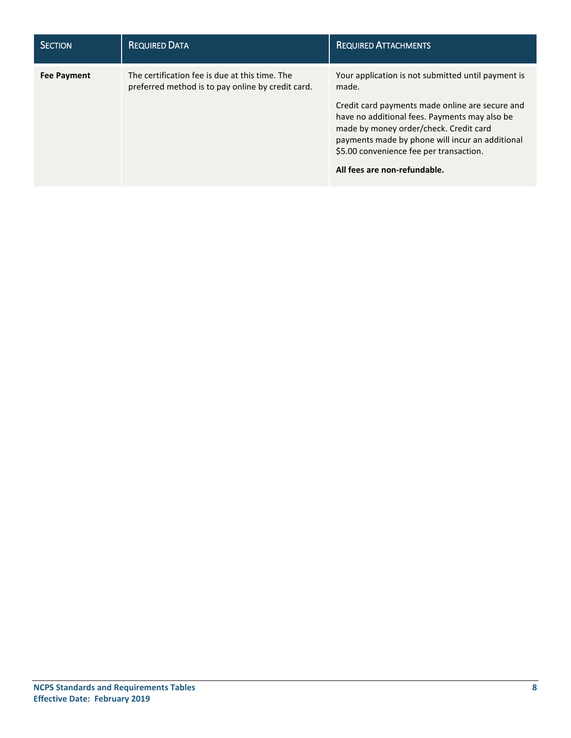| <b>SECTION</b>     | <b>REQUIRED DATA</b>                                                                                | <b>REQUIRED ATTACHMENTS</b>                                                                                                                                                                                                                                                                                                             |
|--------------------|-----------------------------------------------------------------------------------------------------|-----------------------------------------------------------------------------------------------------------------------------------------------------------------------------------------------------------------------------------------------------------------------------------------------------------------------------------------|
| <b>Fee Payment</b> | The certification fee is due at this time. The<br>preferred method is to pay online by credit card. | Your application is not submitted until payment is<br>made.<br>Credit card payments made online are secure and<br>have no additional fees. Payments may also be<br>made by money order/check. Credit card<br>payments made by phone will incur an additional<br>\$5.00 convenience fee per transaction.<br>All fees are non-refundable. |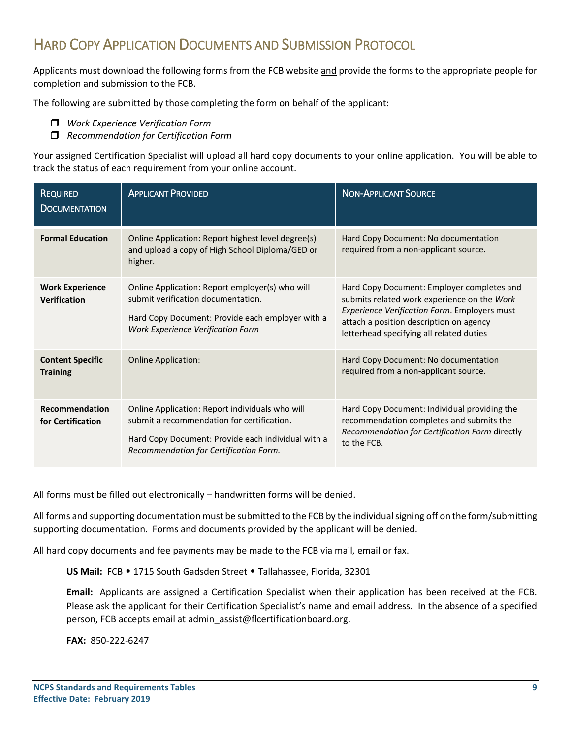<span id="page-9-0"></span>Applicants must download the following forms from the FCB website and provide the forms to the appropriate people for completion and submission to the FCB.

The following are submitted by those completing the form on behalf of the applicant:

- *Work Experience Verification Form*
- *Recommendation for Certification Form*

Your assigned Certification Specialist will upload all hard copy documents to your online application. You will be able to track the status of each requirement from your online account.

| <b>REQUIRED</b><br><b>DOCUMENTATION</b>       | <b>APPLICANT PROVIDED</b>                                                                                                                                                                     | <b>NON-APPLICANT SOURCE</b>                                                                                                                                                                                                             |
|-----------------------------------------------|-----------------------------------------------------------------------------------------------------------------------------------------------------------------------------------------------|-----------------------------------------------------------------------------------------------------------------------------------------------------------------------------------------------------------------------------------------|
| <b>Formal Education</b>                       | Online Application: Report highest level degree(s)<br>and upload a copy of High School Diploma/GED or<br>higher.                                                                              | Hard Copy Document: No documentation<br>required from a non-applicant source.                                                                                                                                                           |
| <b>Work Experience</b><br><b>Verification</b> | Online Application: Report employer(s) who will<br>submit verification documentation.<br>Hard Copy Document: Provide each employer with a<br><b>Work Experience Verification Form</b>         | Hard Copy Document: Employer completes and<br>submits related work experience on the Work<br><b>Experience Verification Form. Employers must</b><br>attach a position description on agency<br>letterhead specifying all related duties |
| <b>Content Specific</b><br><b>Training</b>    | <b>Online Application:</b>                                                                                                                                                                    | Hard Copy Document: No documentation<br>required from a non-applicant source.                                                                                                                                                           |
| Recommendation<br>for Certification           | Online Application: Report individuals who will<br>submit a recommendation for certification.<br>Hard Copy Document: Provide each individual with a<br>Recommendation for Certification Form. | Hard Copy Document: Individual providing the<br>recommendation completes and submits the<br>Recommendation for Certification Form directly<br>to the FCB.                                                                               |

All forms must be filled out electronically – handwritten forms will be denied.

All forms and supporting documentation must be submitted to the FCB by the individual signing off on the form/submitting supporting documentation. Forms and documents provided by the applicant will be denied.

All hard copy documents and fee payments may be made to the FCB via mail, email or fax.

US Mail: FCB • 1715 South Gadsden Street • Tallahassee, Florida, 32301

**Email:** Applicants are assigned a Certification Specialist when their application has been received at the FCB. Please ask the applicant for their Certification Specialist's name and email address. In the absence of a specified person, FCB accepts email at admin\_assist@flcertificationboard.org.

**FAX:** 850-222-6247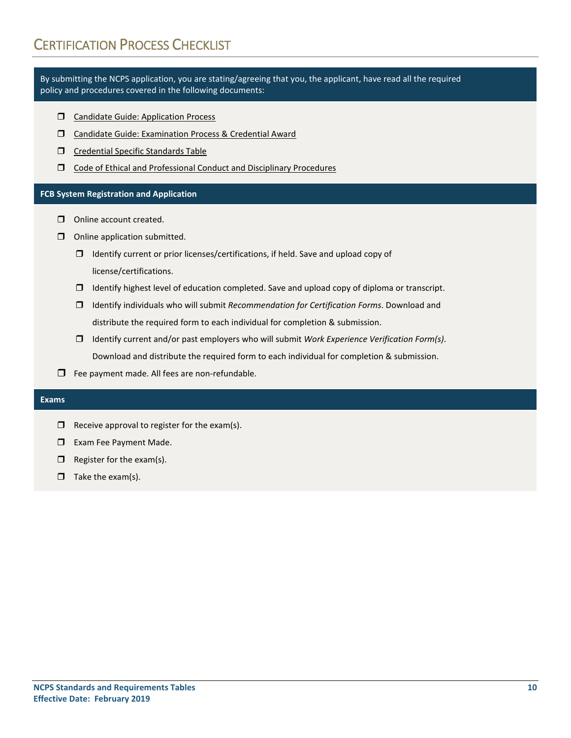<span id="page-10-0"></span>By submitting the NCPS application, you are stating/agreeing that you, the applicant, have read all the required policy and procedures covered in the following documents:

- **Candidate Guide: Application Process**
- Candidate Guide: Examination Process & Credential Award
- Credential Specific Standards Table
- Code of Ethical and Professional Conduct and Disciplinary Procedures

#### **FCB System Registration and Application**

- Online account created.
- $\Box$  Online application submitted.
	- $\Box$  Identify current or prior licenses/certifications, if held. Save and upload copy of license/certifications.
	- $\Box$  Identify highest level of education completed. Save and upload copy of diploma or transcript.
	- Identify individuals who will submit *Recommendation for Certification Forms*. Download and distribute the required form to each individual for completion & submission.
	- Identify current and/or past employers who will submit *Work Experience Verification Form(s)*. Download and distribute the required form to each individual for completion & submission.
- $\Box$  Fee payment made. All fees are non-refundable.

#### **Exams**

- $\Box$  Receive approval to register for the exam(s).
- **Exam Fee Payment Made.**
- $\Box$  Register for the exam(s).
- $\Box$  Take the exam(s).